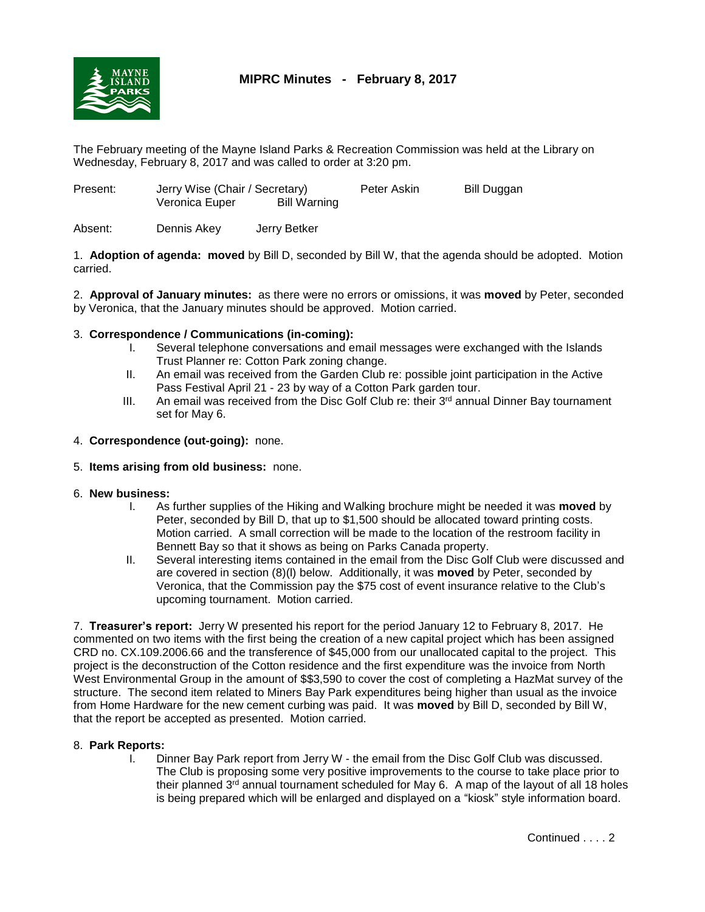

# **MIPRC Minutes - February 8, 2017**

The February meeting of the Mayne Island Parks & Recreation Commission was held at the Library on Wednesday, February 8, 2017 and was called to order at 3:20 pm.

| Present: | Jerry Wise (Chair / Secretary) |              | Peter Askin | Bill Duggan |  |
|----------|--------------------------------|--------------|-------------|-------------|--|
|          | Veronica Euper                 | Bill Warning |             |             |  |
|          |                                |              |             |             |  |

Absent: Dennis Akey Jerry Betker

1. **Adoption of agenda: moved** by Bill D, seconded by Bill W, that the agenda should be adopted. Motion carried.

2. **Approval of January minutes:** as there were no errors or omissions, it was **moved** by Peter, seconded by Veronica, that the January minutes should be approved. Motion carried.

## 3. **Correspondence / Communications (in-coming):**

- I. Several telephone conversations and email messages were exchanged with the Islands Trust Planner re: Cotton Park zoning change.
- II. An email was received from the Garden Club re: possible joint participation in the Active Pass Festival April 21 - 23 by way of a Cotton Park garden tour.
- III. An email was received from the Disc Golf Club re: their  $3<sup>rd</sup>$  annual Dinner Bay tournament set for May 6.

## 4. **Correspondence (out-going):** none.

## 5. **Items arising from old business:** none.

- 6. **New business:**
	- I. As further supplies of the Hiking and Walking brochure might be needed it was **moved** by Peter, seconded by Bill D, that up to \$1,500 should be allocated toward printing costs. Motion carried. A small correction will be made to the location of the restroom facility in Bennett Bay so that it shows as being on Parks Canada property.
	- II. Several interesting items contained in the email from the Disc Golf Club were discussed and are covered in section (8)(l) below. Additionally, it was **moved** by Peter, seconded by Veronica, that the Commission pay the \$75 cost of event insurance relative to the Club's upcoming tournament. Motion carried.

7. **Treasurer's report:** Jerry W presented his report for the period January 12 to February 8, 2017. He commented on two items with the first being the creation of a new capital project which has been assigned CRD no. CX.109.2006.66 and the transference of \$45,000 from our unallocated capital to the project. This project is the deconstruction of the Cotton residence and the first expenditure was the invoice from North West Environmental Group in the amount of \$\$3,590 to cover the cost of completing a HazMat survey of the structure. The second item related to Miners Bay Park expenditures being higher than usual as the invoice from Home Hardware for the new cement curbing was paid. It was **moved** by Bill D, seconded by Bill W, that the report be accepted as presented. Motion carried.

## 8. **Park Reports:**

I. Dinner Bay Park report from Jerry W - the email from the Disc Golf Club was discussed. The Club is proposing some very positive improvements to the course to take place prior to their planned  $3^{rd}$  annual tournament scheduled for May 6. A map of the layout of all 18 holes is being prepared which will be enlarged and displayed on a "kiosk" style information board.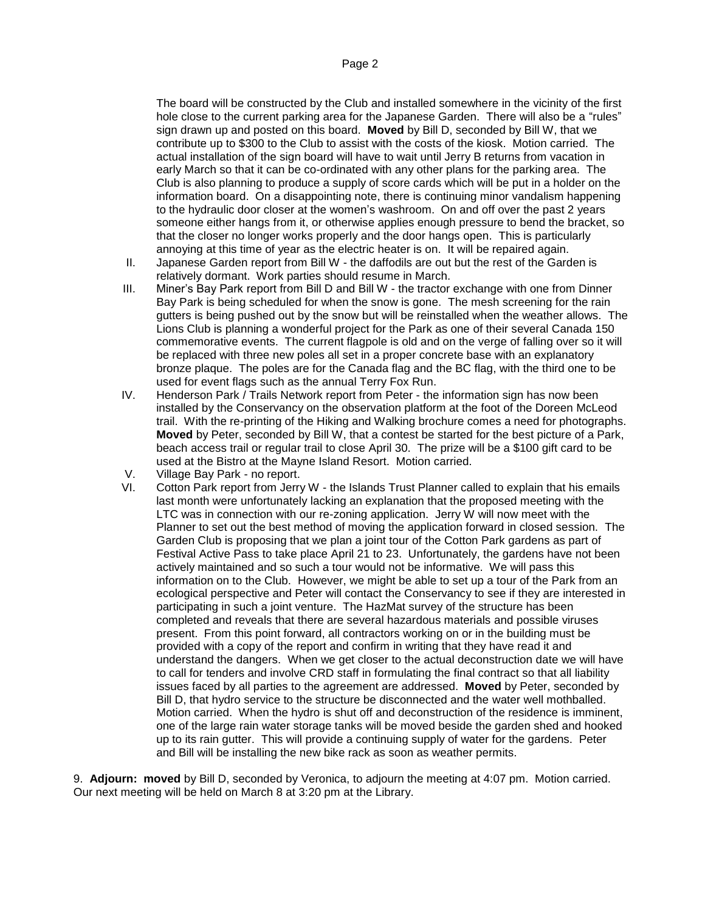The board will be constructed by the Club and installed somewhere in the vicinity of the first hole close to the current parking area for the Japanese Garden. There will also be a "rules" sign drawn up and posted on this board. **Moved** by Bill D, seconded by Bill W, that we contribute up to \$300 to the Club to assist with the costs of the kiosk. Motion carried. The actual installation of the sign board will have to wait until Jerry B returns from vacation in early March so that it can be co-ordinated with any other plans for the parking area. The Club is also planning to produce a supply of score cards which will be put in a holder on the information board. On a disappointing note, there is continuing minor vandalism happening to the hydraulic door closer at the women's washroom. On and off over the past 2 years someone either hangs from it, or otherwise applies enough pressure to bend the bracket, so that the closer no longer works properly and the door hangs open. This is particularly annoying at this time of year as the electric heater is on. It will be repaired again.

- II. Japanese Garden report from Bill W the daffodils are out but the rest of the Garden is relatively dormant. Work parties should resume in March.
- III. Miner's Bay Park report from Bill D and Bill W the tractor exchange with one from Dinner Bay Park is being scheduled for when the snow is gone. The mesh screening for the rain gutters is being pushed out by the snow but will be reinstalled when the weather allows. The Lions Club is planning a wonderful project for the Park as one of their several Canada 150 commemorative events. The current flagpole is old and on the verge of falling over so it will be replaced with three new poles all set in a proper concrete base with an explanatory bronze plaque. The poles are for the Canada flag and the BC flag, with the third one to be used for event flags such as the annual Terry Fox Run.
- IV. Henderson Park / Trails Network report from Peter the information sign has now been installed by the Conservancy on the observation platform at the foot of the Doreen McLeod trail. With the re-printing of the Hiking and Walking brochure comes a need for photographs. **Moved** by Peter, seconded by Bill W, that a contest be started for the best picture of a Park, beach access trail or regular trail to close April 30. The prize will be a \$100 gift card to be used at the Bistro at the Mayne Island Resort. Motion carried.
- V. Village Bay Park no report.
- VI. Cotton Park report from Jerry W the Islands Trust Planner called to explain that his emails last month were unfortunately lacking an explanation that the proposed meeting with the LTC was in connection with our re-zoning application. Jerry W will now meet with the Planner to set out the best method of moving the application forward in closed session. The Garden Club is proposing that we plan a joint tour of the Cotton Park gardens as part of Festival Active Pass to take place April 21 to 23. Unfortunately, the gardens have not been actively maintained and so such a tour would not be informative. We will pass this information on to the Club. However, we might be able to set up a tour of the Park from an ecological perspective and Peter will contact the Conservancy to see if they are interested in participating in such a joint venture. The HazMat survey of the structure has been completed and reveals that there are several hazardous materials and possible viruses present. From this point forward, all contractors working on or in the building must be provided with a copy of the report and confirm in writing that they have read it and understand the dangers. When we get closer to the actual deconstruction date we will have to call for tenders and involve CRD staff in formulating the final contract so that all liability issues faced by all parties to the agreement are addressed. **Moved** by Peter, seconded by Bill D, that hydro service to the structure be disconnected and the water well mothballed. Motion carried. When the hydro is shut off and deconstruction of the residence is imminent, one of the large rain water storage tanks will be moved beside the garden shed and hooked up to its rain gutter. This will provide a continuing supply of water for the gardens. Peter and Bill will be installing the new bike rack as soon as weather permits.

9. **Adjourn: moved** by Bill D, seconded by Veronica, to adjourn the meeting at 4:07 pm. Motion carried. Our next meeting will be held on March 8 at 3:20 pm at the Library.